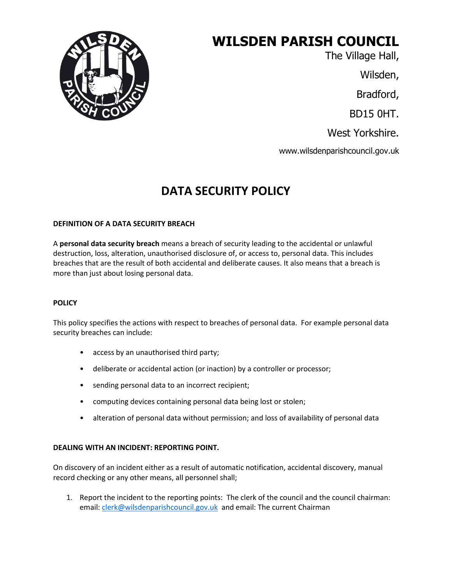

# **WILSDEN PARISH COUNCIL**

The Village Hall,

Wilsden,

Bradford,

BD15 0HT.

West Yorkshire.

www.wilsdenparishcouncil.gov.uk

## **DATA SECURITY POLICY**

#### **DEFINITION OF A DATA SECURITY BREACH**

A **personal data security breach** means a breach of security leading to the accidental or unlawful destruction, loss, alteration, unauthorised disclosure of, or access to, personal data. This includes breaches that are the result of both accidental and deliberate causes. It also means that a breach is more than just about losing personal data.

#### **POLICY**

This policy specifies the actions with respect to breaches of personal data. For example personal data security breaches can include:

- access by an unauthorised third party;
- deliberate or accidental action (or inaction) by a controller or processor;
- sending personal data to an incorrect recipient;
- computing devices containing personal data being lost or stolen;
- alteration of personal data without permission; and loss of availability of personal data

#### **DEALING WITH AN INCIDENT: REPORTING POINT.**

On discovery of an incident either as a result of automatic notification, accidental discovery, manual record checking or any other means, all personnel shall;

1. Report the incident to the reporting points: The clerk of the council and the council chairman: email: [clerk@wilsdenparishcouncil.gov.uk](mailto:clerk@wilsdenparishcouncil.gov.uk) and email: The current Chairman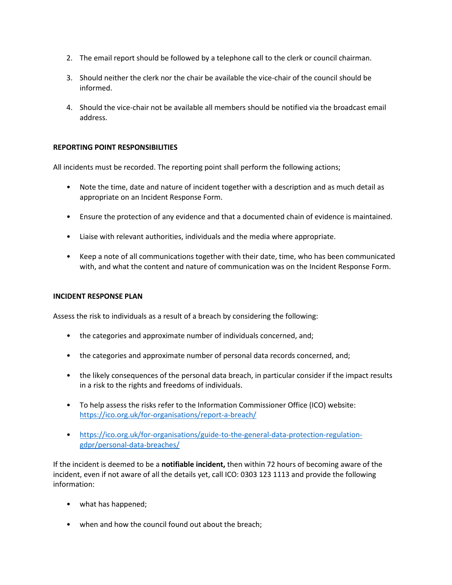- 2. The email report should be followed by a telephone call to the clerk or council chairman.
- 3. Should neither the clerk nor the chair be available the vice-chair of the council should be informed.
- 4. Should the vice-chair not be available all members should be notified via the broadcast email address.

#### **REPORTING POINT RESPONSIBILITIES**

All incidents must be recorded. The reporting point shall perform the following actions;

- Note the time, date and nature of incident together with a description and as much detail as appropriate on an Incident Response Form.
- Ensure the protection of any evidence and that a documented chain of evidence is maintained.
- Liaise with relevant authorities, individuals and the media where appropriate.
- Keep a note of all communications together with their date, time, who has been communicated with, and what the content and nature of communication was on the Incident Response Form.

#### **INCIDENT RESPONSE PLAN**

Assess the risk to individuals as a result of a breach by considering the following:

- the categories and approximate number of individuals concerned, and;
- the categories and approximate number of personal data records concerned, and;
- the likely consequences of the personal data breach, in particular consider if the impact results in a risk to the rights and freedoms of individuals.
- To help assess the risks refer to the Information Commissioner Office (ICO) website: <https://ico.org.uk/for-organisations/report-a-breach/>
- [https://ico.org.uk/for-organisations/guide-to-the-general-data-protection-regulation](https://ico.org.uk/for-organisations/guide-to-the-general-data-protection-regulation-gdpr/personal-data-breaches/)[gdpr/personal-data-breaches/](https://ico.org.uk/for-organisations/guide-to-the-general-data-protection-regulation-gdpr/personal-data-breaches/)

If the incident is deemed to be a **notifiable incident,** then within 72 hours of becoming aware of the incident, even if not aware of all the details yet, call ICO: 0303 123 1113 and provide the following information:

- what has happened;
- when and how the council found out about the breach;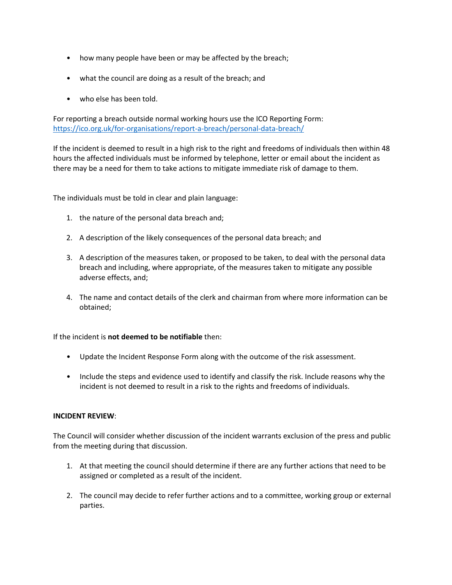- how many people have been or may be affected by the breach;
- what the council are doing as a result of the breach; and
- who else has been told.

For reporting a breach outside normal working hours use the ICO Reporting Form: <https://ico.org.uk/for-organisations/report-a-breach/personal-data-breach/>

If the incident is deemed to result in a high risk to the right and freedoms of individuals then within 48 hours the affected individuals must be informed by telephone, letter or email about the incident as there may be a need for them to take actions to mitigate immediate risk of damage to them.

The individuals must be told in clear and plain language:

- 1. the nature of the personal data breach and;
- 2. A description of the likely consequences of the personal data breach; and
- 3. A description of the measures taken, or proposed to be taken, to deal with the personal data breach and including, where appropriate, of the measures taken to mitigate any possible adverse effects, and;
- 4. The name and contact details of the clerk and chairman from where more information can be obtained;

If the incident is **not deemed to be notifiable** then:

- Update the Incident Response Form along with the outcome of the risk assessment.
- Include the steps and evidence used to identify and classify the risk. Include reasons why the incident is not deemed to result in a risk to the rights and freedoms of individuals.

#### **INCIDENT REVIEW**:

The Council will consider whether discussion of the incident warrants exclusion of the press and public from the meeting during that discussion.

- 1. At that meeting the council should determine if there are any further actions that need to be assigned or completed as a result of the incident.
- 2. The council may decide to refer further actions and to a committee, working group or external parties.